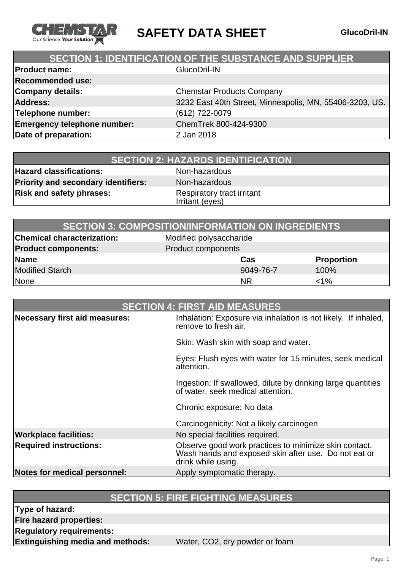

**SAFETY DATA SHEET GlucoDril-IN**

### **SECTION 1: IDENTIFICATION OF THE SUBSTANCE AND SUPPLIER**

| <b>Product name:</b>               | GlucoDril-IN                                            |
|------------------------------------|---------------------------------------------------------|
| <b>Recommended use:</b>            |                                                         |
| <b>Company details:</b>            | <b>Chemstar Products Company</b>                        |
| <b>Address:</b>                    | 3232 East 40th Street, Minneapolis, MN, 55406-3203, US. |
| Telephone number:                  | (612) 722-0079                                          |
| <b>Emergency telephone number:</b> | ChemTrek 800-424-9300                                   |
| Date of preparation:               | 2 Jan 2018                                              |
|                                    |                                                         |

| <b>SECTION 2: HAZARDS IDENTIFICATION</b> |  |
|------------------------------------------|--|
|------------------------------------------|--|

**Hazard classifications:** Non-hazardous **Priority and secondary identifiers:** Non-hazardous **Risk and safety phrases:** Respiratory tract irritant

Irritant (eyes)

| <b>SECTION 3: COMPOSITION/INFORMATION ON INGREDIENTS</b> |                         |                   |
|----------------------------------------------------------|-------------------------|-------------------|
| <b>Chemical characterization:</b>                        | Modified polysaccharide |                   |
| <b>Product components:</b>                               | Product components      |                   |
| Name                                                     | Cas                     | <b>Proportion</b> |
| <b>Modified Starch</b>                                   | 9049-76-7               | 100%              |
| None                                                     | <b>NR</b>               | $1\%$             |

| <b>SECTION 4: FIRST AID MEASURES</b> |                                                                                                                                     |
|--------------------------------------|-------------------------------------------------------------------------------------------------------------------------------------|
| Necessary first aid measures:        | Inhalation: Exposure via inhalation is not likely. If inhaled,<br>remove to fresh air.                                              |
|                                      | Skin: Wash skin with soap and water.                                                                                                |
|                                      | Eyes: Flush eyes with water for 15 minutes, seek medical<br>attention.                                                              |
|                                      | Ingestion: If swallowed, dilute by drinking large quantities<br>of water, seek medical attention.                                   |
|                                      | Chronic exposure: No data                                                                                                           |
|                                      | Carcinogenicity: Not a likely carcinogen                                                                                            |
| <b>Workplace facilities:</b>         | No special facilities required.                                                                                                     |
| <b>Required instructions:</b>        | Observe good work practices to minimize skin contact.<br>Wash hands and exposed skin after use. Do not eat or<br>drink while using. |
| Notes for medical personnel:         | Apply symptomatic therapy.                                                                                                          |

#### **SECTION 5: FIRE FIGHTING MEASURES**

**Type of hazard:**

**Fire hazard properties:**

**Regulatory requirements:**

**Extinguishing media and methods:** Water, CO2, dry powder or foam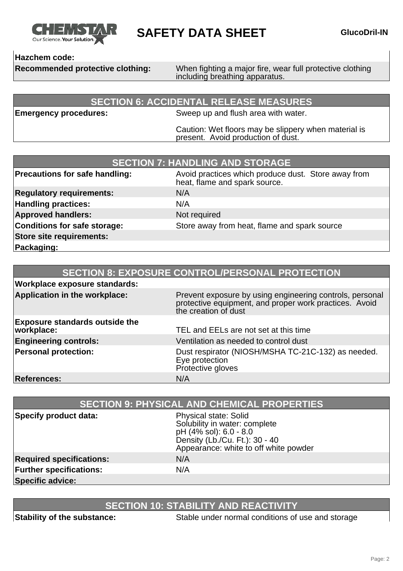

**SAFETY DATA SHEET GlucoDril-IN** 

#### **Hazchem code:**

**Recommended protective clothing:** When fighting a major fire, wear full protective clothing including breathing apparatus.

#### **SECTION 6: ACCIDENTAL RELEASE MEASURES**

**Emergency procedures:** Sweep up and flush area with water.

Caution: Wet floors may be slippery when material is present. Avoid production of dust.

| <b>SECTION 7: HANDLING AND STORAGE</b> |                                                                                      |  |
|----------------------------------------|--------------------------------------------------------------------------------------|--|
| <b>Precautions for safe handling:</b>  | Avoid practices which produce dust. Store away from<br>heat, flame and spark source. |  |
| <b>Regulatory requirements:</b>        | N/A                                                                                  |  |
| <b>Handling practices:</b>             | N/A                                                                                  |  |
| <b>Approved handlers:</b>              | Not required                                                                         |  |
| Conditions for safe storage:           | Store away from heat, flame and spark source                                         |  |
| <b>Store site requirements:</b>        |                                                                                      |  |
| Packaging:                             |                                                                                      |  |

| <b>SECTION 8: EXPOSURE CONTROL/PERSONAL PROTECTION</b> |                                                                                                                                            |
|--------------------------------------------------------|--------------------------------------------------------------------------------------------------------------------------------------------|
| <b>Workplace exposure standards:</b>                   |                                                                                                                                            |
| Application in the workplace:                          | Prevent exposure by using engineering controls, personal<br>protective equipment, and proper work practices. Avoid<br>the creation of dust |
| <b>Exposure standards outside the</b><br>workplace:    | TEL and EELs are not set at this time                                                                                                      |
| <b>Engineering controls:</b>                           | Ventilation as needed to control dust                                                                                                      |
| <b>Personal protection:</b>                            | Dust respirator (NIOSH/MSHA TC-21C-132) as needed.<br>Eye protection<br>Protective gloves                                                  |
| <b>References:</b>                                     | N/A                                                                                                                                        |

| <b>SECTION 9: PHYSICAL AND CHEMICAL PROPERTIES</b> |                                                                                                                                                                    |
|----------------------------------------------------|--------------------------------------------------------------------------------------------------------------------------------------------------------------------|
| <b>Specify product data:</b>                       | <b>Physical state: Solid</b><br>Solubility in water: complete<br>pH (4% sol): 6.0 - 8.0<br>Density (Lb./Cu. Ft.): 30 - 40<br>Appearance: white to off white powder |
| <b>Required specifications:</b>                    | N/A                                                                                                                                                                |
| <b>Further specifications:</b>                     | N/A                                                                                                                                                                |
| <b>Specific advice:</b>                            |                                                                                                                                                                    |

## **SECTION 10: STABILITY AND REACTIVITY**

**Stability of the substance:** Stable under normal conditions of use and storage